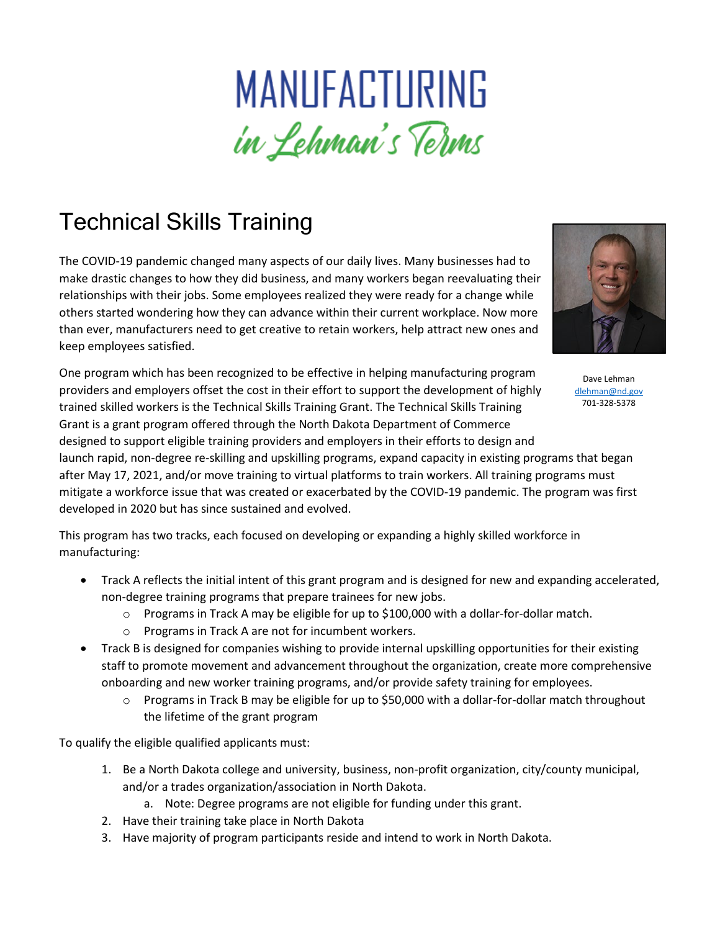## MANUFACTURING in Lehman's Terms

## Technical Skills Training

The COVID-19 pandemic changed many aspects of our daily lives. Many businesses had to make drastic changes to how they did business, and many workers began reevaluating their relationships with their jobs. Some employees realized they were ready for a change while others started wondering how they can advance within their current workplace. Now more than ever, manufacturers need to get creative to retain workers, help attract new ones and keep employees satisfied.



Dave Lehman [dlehman@nd.gov](mailto:dlehman@nd.gov) 701-328-5378

One program which has been recognized to be effective in helping manufacturing program providers and employers offset the cost in their effort to support the development of highly trained skilled workers is the Technical Skills Training Grant. The Technical Skills Training Grant is a grant program offered through the North Dakota Department of Commerce designed to support eligible training providers and employers in their efforts to design and launch rapid, non-degree re-skilling and upskilling programs, expand capacity in existing programs that began after May 17, 2021, and/or move training to virtual platforms to train workers. All training programs must mitigate a workforce issue that was created or exacerbated by the COVID-19 pandemic. The program was first developed in 2020 but has since sustained and evolved.

This program has two tracks, each focused on developing or expanding a highly skilled workforce in manufacturing:

- Track A reflects the initial intent of this grant program and is designed for new and expanding accelerated, non-degree training programs that prepare trainees for new jobs.
	- o Programs in Track A may be eligible for up to \$100,000 with a dollar-for-dollar match.
	- o Programs in Track A are not for incumbent workers.
- Track B is designed for companies wishing to provide internal upskilling opportunities for their existing staff to promote movement and advancement throughout the organization, create more comprehensive onboarding and new worker training programs, and/or provide safety training for employees.
	- $\circ$  Programs in Track B may be eligible for up to \$50,000 with a dollar-for-dollar match throughout the lifetime of the grant program

To qualify the eligible qualified applicants must:

- 1. Be a North Dakota college and university, business, non-profit organization, city/county municipal, and/or a trades organization/association in North Dakota.
	- a. Note: Degree programs are not eligible for funding under this grant.
- 2. Have their training take place in North Dakota
- 3. Have majority of program participants reside and intend to work in North Dakota.